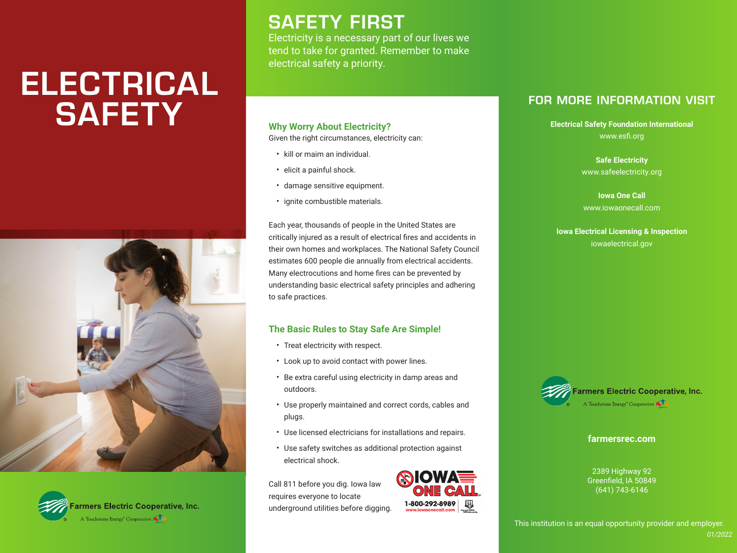# ELECTRICAL **SAFETY**





## SAFETY FIRST

Electricity is a necessary part of our lives we tend to take for granted. Remember to make electrical safety a priority.

#### **Why Worry About Electricity?**

Given the right circumstances, electricity can:

- kill or maim an individual.
- elicit a painful shock.
- damage sensitive equipment.
- ignite combustible materials.

Each year, thousands of people in the United States are critically injured as a result of electrical fires and accidents in their own homes and workplaces. The National Safety Council estimates 600 people die annually from electrical accidents. Many electrocutions and home fires can be prevented by understanding basic electrical safety principles and adhering to safe practices.

#### **The Basic Rules to Stay Safe Are Simple!**

- Treat electricity with respect.
- Look up to avoid contact with power lines.
- Be extra careful using electricity in damp areas and outdoors.
- Use properly maintained and correct cords, cables and plugs.
- Use licensed electricians for installations and repairs.
- Use safety switches as additional protection against electrical shock.

Call 811 before you dig. Iowa law requires everyone to locate underground utilities before digging.



## FOR MORE INFORMATION VISIT

**Electrical Safety Foundation International** www.esfi.org

> **Safe Electricity** www.safeelectricity.org

**Iowa One Call** www.iowaonecall.com

**Iowa Electrical Licensing & Inspection** iowaelectrical.gov



**farmersrec.com**

2389 Highway 92 Greenfield, IA 50849 (641) 743-6146